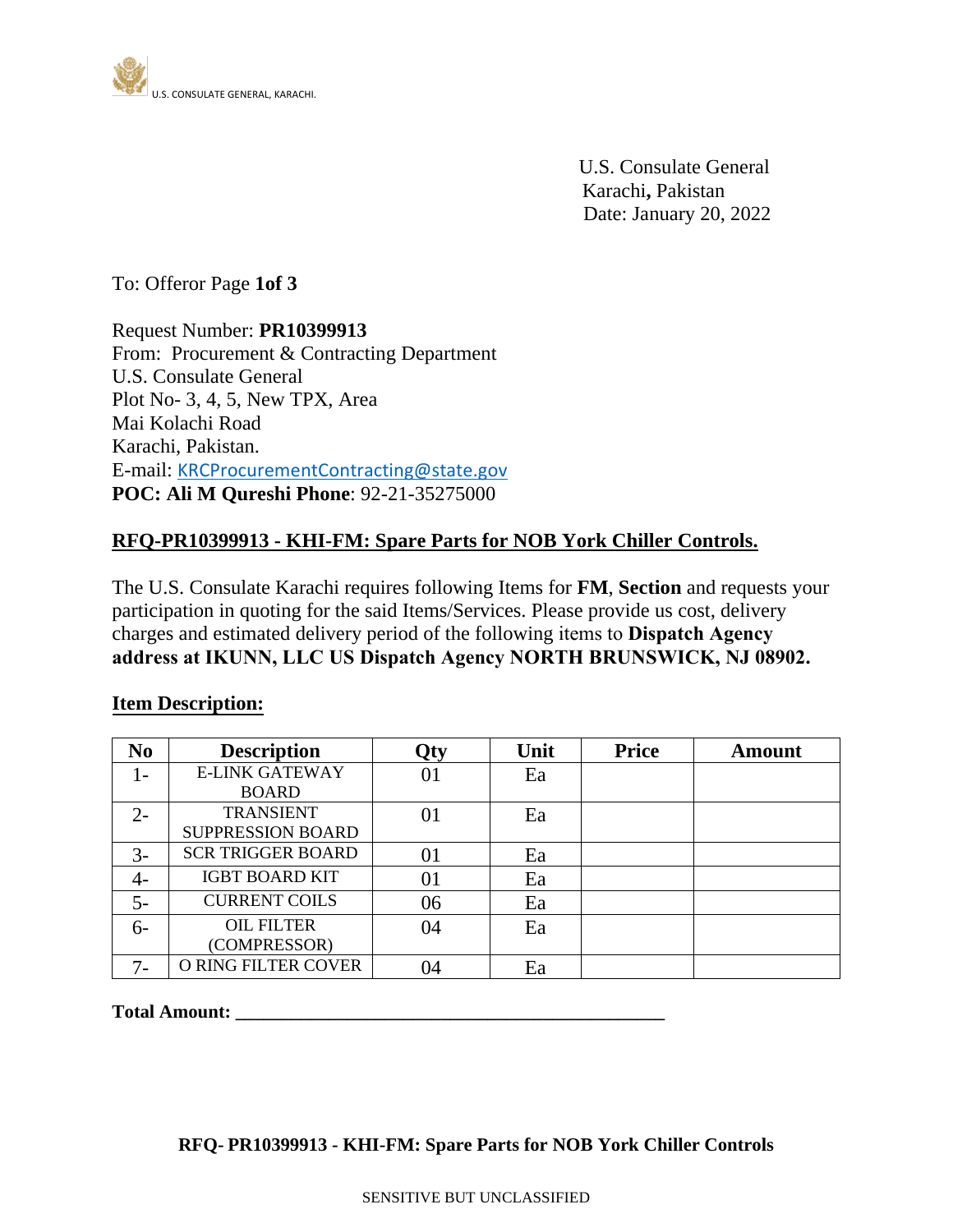

U.S. Consulate General Karachi**,** Pakistan Date: January 20, 2022

To: Offeror Page **1of 3**

Request Number: **PR10399913** From: Procurement & Contracting Department U.S. Consulate General Plot No- 3, 4, 5, New TPX, Area Mai Kolachi Road Karachi, Pakistan. E-mail: [KRCProcurementContracting@state.gov](mailto:KRCProcurementContracting@state.gov) **POC: Ali M Qureshi Phone**: 92-21-35275000

# **RFQ-PR10399913 - KHI-FM: Spare Parts for NOB York Chiller Controls.**

The U.S. Consulate Karachi requires following Items for **FM**, **Section** and requests your participation in quoting for the said Items/Services. Please provide us cost, delivery charges and estimated delivery period of the following items to **Dispatch Agency address at IKUNN, LLC US Dispatch Agency NORTH BRUNSWICK, NJ 08902.**

#### **Item Description:**

| N <sub>o</sub> | <b>Description</b>         | Qty | Unit | <b>Price</b> | <b>Amount</b> |
|----------------|----------------------------|-----|------|--------------|---------------|
|                | <b>E-LINK GATEWAY</b>      | 01  | Ea   |              |               |
|                | <b>BOARD</b>               |     |      |              |               |
| $2 -$          | <b>TRANSIENT</b>           | 01  | Ea   |              |               |
|                | <b>SUPPRESSION BOARD</b>   |     |      |              |               |
| $3-$           | <b>SCR TRIGGER BOARD</b>   | 01  | Ea   |              |               |
| 4-             | <b>IGBT BOARD KIT</b>      | 01  | Ea   |              |               |
| $5-$           | <b>CURRENT COILS</b>       | 06  | Ea   |              |               |
| $6-$           | <b>OIL FILTER</b>          | 04  | Ea   |              |               |
|                | (COMPRESSOR)               |     |      |              |               |
| $7-$           | <b>O RING FILTER COVER</b> | 04  | Ea   |              |               |

**Total Amount: \_\_\_\_\_\_\_\_\_\_\_\_\_\_\_\_\_\_\_\_\_\_\_\_\_\_\_\_\_\_\_\_\_\_\_\_\_\_\_\_\_\_\_\_\_\_**

## **RFQ- PR10399913 - KHI-FM: Spare Parts for NOB York Chiller Controls**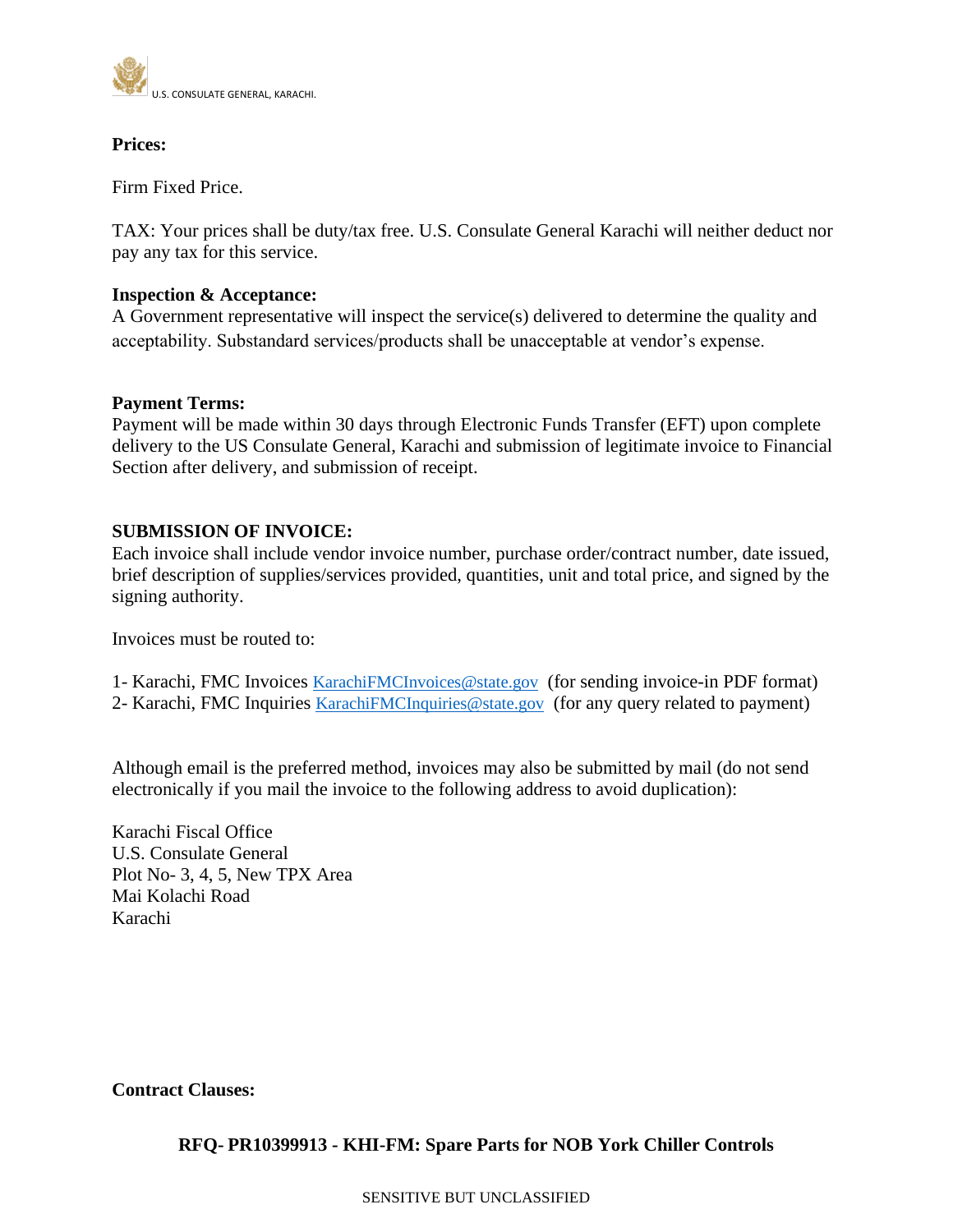

## **Prices:**

Firm Fixed Price.

TAX: Your prices shall be duty/tax free. U.S. Consulate General Karachi will neither deduct nor pay any tax for this service.

### **Inspection & Acceptance:**

A Government representative will inspect the service(s) delivered to determine the quality and acceptability. Substandard services/products shall be unacceptable at vendor's expense.

### **Payment Terms:**

Payment will be made within 30 days through Electronic Funds Transfer (EFT) upon complete delivery to the US Consulate General, Karachi and submission of legitimate invoice to Financial Section after delivery, and submission of receipt.

### **SUBMISSION OF INVOICE:**

Each invoice shall include vendor invoice number, purchase order/contract number, date issued, brief description of supplies/services provided, quantities, unit and total price, and signed by the signing authority.

Invoices must be routed to:

1- Karachi, FMC Invoices [KarachiFMCInvoices@state.gov](mailto:KarachiFMCInvoices@state.gov) (for sending invoice-in PDF format) 2- Karachi, FMC Inquiries [KarachiFMCInquiries@state.gov](mailto:KarachiFMCInquiries@state.gov) (for any query related to payment)

Although email is the preferred method, invoices may also be submitted by mail (do not send electronically if you mail the invoice to the following address to avoid duplication):

Karachi Fiscal Office U.S. Consulate General Plot No- 3, 4, 5, New TPX Area Mai Kolachi Road Karachi

**Contract Clauses:**

## **RFQ- PR10399913 - KHI-FM: Spare Parts for NOB York Chiller Controls**